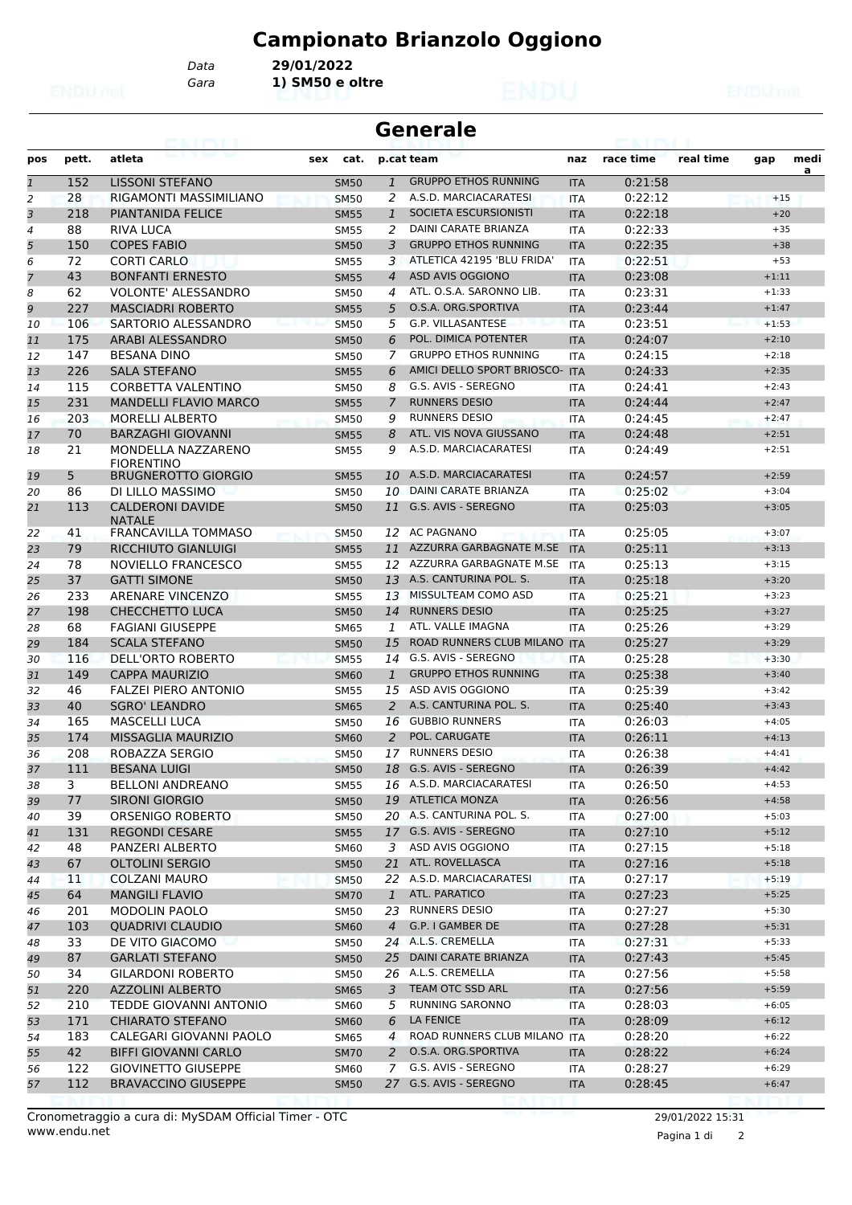# **Campionato Brianzolo Oggiono**

*Data* **29/01/2022**

*Gara* **1) SM50 e oltre**

|                | <b>Generale</b> |                                          |             |                |                                |            |                    |           |         |           |
|----------------|-----------------|------------------------------------------|-------------|----------------|--------------------------------|------------|--------------------|-----------|---------|-----------|
| pos            | pett.           | atleta                                   | cat.<br>sex |                | p.cat team                     | naz        | race time          | real time | gap     | medi<br>a |
| $\overline{1}$ | 152             | LISSONI STEFANO                          | <b>SM50</b> | $\mathbf{1}$   | <b>GRUPPO ETHOS RUNNING</b>    | <b>ITA</b> | 0:21:58            |           |         |           |
| 2              | 28              | RIGAMONTI MASSIMILIANO                   | <b>SM50</b> | 2              | A.S.D. MARCIACARATESI          | <b>ITA</b> | 0:22:12            |           | $+15$   |           |
| 3              | 218             | <b>PIANTANIDA FELICE</b>                 | <b>SM55</b> | 1              | SOCIETA ESCURSIONISTI          | <b>ITA</b> | 0:22:18            |           | $+20$   |           |
| 4              | 88              | <b>RIVA LUCA</b>                         | <b>SM55</b> | 2              | DAINI CARATE BRIANZA           | <b>ITA</b> | 0:22:33            |           | $+35$   |           |
| 5              | 150             | <b>COPES FABIO</b>                       | <b>SM50</b> | 3              | <b>GRUPPO ETHOS RUNNING</b>    | <b>ITA</b> | 0:22:35            |           | $+38$   |           |
| 6              | 72              | <b>CORTI CARLO</b>                       | <b>SM55</b> | 3              | ATLETICA 42195 'BLU FRIDA'     | <b>ITA</b> | 0:22:51            |           | $+53$   |           |
| $\overline{7}$ | 43              | <b>BONFANTI ERNESTO</b>                  | <b>SM55</b> | $\overline{4}$ | ASD AVIS OGGIONO               | <b>ITA</b> | 0:23:08            |           | $+1:11$ |           |
| 8              | 62              | <b>VOLONTE' ALESSANDRO</b>               | <b>SM50</b> | 4              | ATL. O.S.A. SARONNO LIB.       | <b>ITA</b> | 0:23:31            |           | $+1:33$ |           |
| 9              | 227             | <b>MASCIADRI ROBERTO</b>                 | <b>SM55</b> | 5              | O.S.A. ORG.SPORTIVA            | <b>ITA</b> | 0:23:44            |           | $+1:47$ |           |
| 10             | 106             | SARTORIO ALESSANDRO                      | <b>SM50</b> | 5              | G.P. VILLASANTESE              | <b>ITA</b> | 0:23:51            |           | $+1:53$ |           |
| 11             | 175             | ARABI ALESSANDRO                         | <b>SM50</b> | 6              | POL. DIMICA POTENTER           | <b>ITA</b> | 0:24:07            |           | $+2:10$ |           |
| 12             | 147             | <b>BESANA DINO</b>                       | <b>SM50</b> | 7              | <b>GRUPPO ETHOS RUNNING</b>    | <b>ITA</b> | 0:24:15            |           | $+2:18$ |           |
| 13             | 226             | <b>SALA STEFANO</b>                      | <b>SM55</b> | 6              | AMICI DELLO SPORT BRIOSCO- ITA |            | 0:24:33            |           | $+2:35$ |           |
| 14             | 115             | CORBETTA VALENTINO                       | <b>SM50</b> | 8              | G.S. AVIS - SEREGNO            | <b>ITA</b> | 0:24:41            |           | $+2:43$ |           |
| 15             | 231             | <b>MANDELLI FLAVIO MARCO</b>             | <b>SM55</b> | 7              | <b>RUNNERS DESIO</b>           | <b>ITA</b> | 0:24:44            |           | $+2:47$ |           |
| 16             | 203             | <b>MORELLI ALBERTO</b>                   | <b>SM50</b> | 9              | <b>RUNNERS DESIO</b>           | <b>ITA</b> | 0:24:45            |           | $+2:47$ |           |
| 17             | 70              | <b>BARZAGHI GIOVANNI</b>                 | <b>SM55</b> | 8              | ATL. VIS NOVA GIUSSANO         | <b>ITA</b> | 0:24:48            |           | $+2:51$ |           |
| 18             | 21              | MONDELLA NAZZARENO<br><b>FIORENTINO</b>  | SM55        | 9              | A.S.D. MARCIACARATESI          | <b>ITA</b> | 0:24:49            |           | $+2:51$ |           |
| 19             | 5               | <b>BRUGNEROTTO GIORGIO</b>               | <b>SM55</b> | 10             | A.S.D. MARCIACARATESI          | <b>ITA</b> | 0:24:57            |           | $+2:59$ |           |
| 20             | 86              | DI LILLO MASSIMO                         | <b>SM50</b> | 10             | DAINI CARATE BRIANZA           | <b>ITA</b> | 0:25:02            |           | $+3:04$ |           |
| 21             | 113             | <b>CALDERONI DAVIDE</b><br><b>NATALE</b> | <b>SM50</b> | 11             | G.S. AVIS - SEREGNO            | <b>ITA</b> | 0:25:03            |           | $+3:05$ |           |
| 22             | 41              | <b>FRANCAVILLA TOMMASO</b>               | <b>SM50</b> | 12             | AC PAGNANO                     | <b>ITA</b> | 0:25:05            |           | $+3:07$ |           |
| 23             | 79              | <b>RICCHIUTO GIANLUIGI</b>               | <b>SM55</b> |                | 11 AZZURRA GARBAGNATE M.SE     | <b>ITA</b> | 0:25:11            |           | $+3:13$ |           |
| 24             | 78              | NOVIELLO FRANCESCO                       | <b>SM55</b> |                | 12 AZZURRA GARBAGNATE M.SE     | <b>ITA</b> | 0:25:13            |           | $+3:15$ |           |
| 25             | 37              | <b>GATTI SIMONE</b>                      | <b>SM50</b> | 13             | A.S. CANTURINA POL. S.         | <b>ITA</b> | 0:25:18            |           | $+3:20$ |           |
| 26             | 233             | ARENARE VINCENZO                         | <b>SM55</b> | 13             | MISSULTEAM COMO ASD            | ITA        | 0:25:21            |           | $+3:23$ |           |
| 27             | 198             | <b>CHECCHETTO LUCA</b>                   | <b>SM50</b> | 14             | <b>RUNNERS DESIO</b>           | <b>ITA</b> | 0:25:25            |           | $+3:27$ |           |
| 28             | 68              | <b>FAGIANI GIUSEPPE</b>                  | <b>SM65</b> | 1              | ATL. VALLE IMAGNA              | <b>ITA</b> | 0:25:26            |           | $+3:29$ |           |
| 29             | 184             | <b>SCALA STEFANO</b>                     | <b>SM50</b> | 15             | ROAD RUNNERS CLUB MILANO ITA   |            | 0:25:27            |           | $+3:29$ |           |
| 30             | 116             | DELL'ORTO ROBERTO                        | <b>SM55</b> |                | 14 G.S. AVIS - SEREGNO         | <b>ITA</b> | 0:25:28            |           | $+3:30$ |           |
| 31             | 149             | <b>CAPPA MAURIZIO</b>                    | <b>SM60</b> | $\mathbf{1}$   | <b>GRUPPO ETHOS RUNNING</b>    | <b>ITA</b> | 0:25:38            |           | $+3:40$ |           |
| 32             | 46              | <b>FALZEI PIERO ANTONIO</b>              | <b>SM55</b> | 15             | ASD AVIS OGGIONO               | ITA        | 0:25:39            |           | $+3:42$ |           |
| 33             | 40              | <b>SGRO' LEANDRO</b>                     | <b>SM65</b> | $\overline{2}$ | A.S. CANTURINA POL. S.         | <b>ITA</b> | 0:25:40            |           | $+3:43$ |           |
| 34             | 165             | <b>MASCELLI LUCA</b>                     | <b>SM50</b> | 16             | <b>GUBBIO RUNNERS</b>          | <b>ITA</b> | 0:26:03            |           | $+4:05$ |           |
| 35             | 174             | MISSAGLIA MAURIZIO                       | <b>SM60</b> | 2              | POL. CARUGATE                  | <b>ITA</b> | 0:26:11            |           | $+4:13$ |           |
| 36             | 208             | ROBAZZA SERGIO                           | <b>SM50</b> | 17             | <b>RUNNERS DESIO</b>           | <b>ITA</b> | 0:26:38            |           | $+4:41$ |           |
| 37             | 111             | <b>BESANA LUIGI</b>                      | <b>SM50</b> |                | 18 G.S. AVIS - SEREGNO         | <b>ITA</b> | 0:26:39            |           | $+4:42$ |           |
| 38             | 3               | <b>BELLONI ANDREANO</b>                  | <b>SM55</b> | 16             | A.S.D. MARCIACARATESI          | ITA        | 0:26:50            |           | $+4:53$ |           |
| 39             | 77              | <b>SIRONI GIORGIO</b>                    | <b>SM50</b> |                | 19 ATLETICA MONZA              | <b>ITA</b> | 0:26:56            |           | $+4:58$ |           |
| 40             | 39              | ORSENIGO ROBERTO                         | <b>SM50</b> |                | 20 A.S. CANTURINA POL. S.      | ITA        | 0:27:00            |           | $+5:03$ |           |
| 41             | 131             | <b>REGONDI CESARE</b>                    | <b>SM55</b> |                | 17 G.S. AVIS - SEREGNO         | <b>ITA</b> | 0:27:10            |           | $+5:12$ |           |
| 42             | 48              | PANZERI ALBERTO                          | <b>SM60</b> | 3              | ASD AVIS OGGIONO               | ITA        | 0:27:15            |           | $+5:18$ |           |
|                | 67              | <b>OLTOLINI SERGIO</b>                   |             |                | 21 ATL. ROVELLASCA             |            | 0:27:16            |           | $+5:18$ |           |
| 43             |                 | <b>COLZANI MAURO</b>                     | <b>SM50</b> |                | 22 A.S.D. MARCIACARATESI       | <b>ITA</b> |                    |           |         |           |
| 44             | 11              |                                          | <b>SM50</b> |                | ATL. PARATICO                  | ITA        | 0:27:17<br>0:27:23 |           | $+5:19$ |           |
| 45             | 64              | <b>MANGILI FLAVIO</b>                    | <b>SM70</b> | $\mathbf{1}$   | <b>RUNNERS DESIO</b>           | <b>ITA</b> |                    |           | $+5:25$ |           |
| 46             | 201             | MODOLIN PAOLO                            | <b>SM50</b> | 23             |                                | ITA        | 0:27:27            |           | $+5:30$ |           |
| 47             | 103             | <b>QUADRIVI CLAUDIO</b>                  | <b>SM60</b> | $\overline{4}$ | G.P. I GAMBER DE               | <b>ITA</b> | 0:27:28            |           | $+5:31$ |           |
| 48             | 33              | DE VITO GIACOMO                          | <b>SM50</b> |                | 24 A.L.S. CREMELLA             | <b>ITA</b> | 0:27:31            |           | $+5:33$ |           |
| 49             | 87              | <b>GARLATI STEFANO</b>                   | <b>SM50</b> | 25             | DAINI CARATE BRIANZA           | <b>ITA</b> | 0:27:43            |           | $+5:45$ |           |
| 50             | 34              | <b>GILARDONI ROBERTO</b>                 | <b>SM50</b> |                | 26 A.L.S. CREMELLA             | ITA        | 0:27:56            |           | $+5:58$ |           |
| 51             | 220             | <b>AZZOLINI ALBERTO</b>                  | <b>SM65</b> |                | 3 TEAM OTC SSD ARL             | <b>ITA</b> | 0:27:56            |           | $+5:59$ |           |
| 52             | 210             | TEDDE GIOVANNI ANTONIO                   | <b>SM60</b> | 5              | <b>RUNNING SARONNO</b>         | <b>ITA</b> | 0:28:03            |           | $+6:05$ |           |
| 53             | 171             | <b>CHIARATO STEFANO</b>                  | <b>SM60</b> | 6              | LA FENICE                      | <b>ITA</b> | 0:28:09            |           | $+6:12$ |           |
| 54             | 183             | CALEGARI GIOVANNI PAOLO                  | <b>SM65</b> | 4              | ROAD RUNNERS CLUB MILANO ITA   |            | 0:28:20            |           | $+6:22$ |           |
| 55             | 42              | <b>BIFFI GIOVANNI CARLO</b>              | <b>SM70</b> | 2              | O.S.A. ORG.SPORTIVA            | <b>ITA</b> | 0:28:22            |           | $+6:24$ |           |
| 56             | 122             | <b>GIOVINETTO GIUSEPPE</b>               | <b>SM60</b> | 7              | G.S. AVIS - SEREGNO            | ITA        | 0:28:27            |           | $+6:29$ |           |
| 57             | 112             | <b>BRAVACCINO GIUSEPPE</b>               | <b>SM50</b> |                | 27 G.S. AVIS - SEREGNO         | <b>ITA</b> | 0:28:45            |           | $+6:47$ |           |

Pagina 1 di 2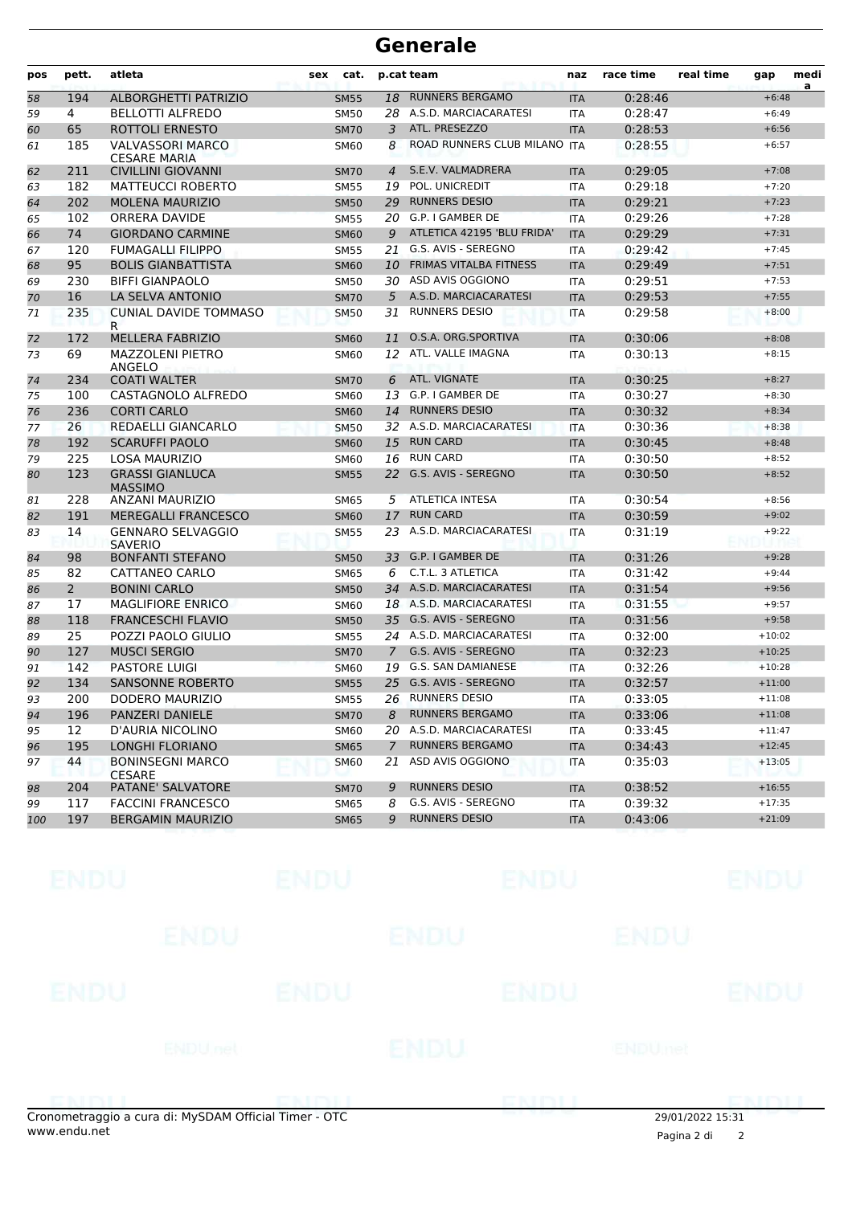#### **Generale**

| pos | pett.        | atleta                                         | cat.<br>sex |                | p.cat team                          | naz        | race time | real time | gap      | medi<br>a |
|-----|--------------|------------------------------------------------|-------------|----------------|-------------------------------------|------------|-----------|-----------|----------|-----------|
| 58  | 194          | <b>ALBORGHETTI PATRIZIO</b>                    | <b>SM55</b> | 18             | <b>RUNNERS BERGAMO</b>              | <b>ITA</b> | 0:28:46   |           | $+6:48$  |           |
| 59  | 4            | <b>BELLOTTI ALFREDO</b>                        | <b>SM50</b> | 28             | A.S.D. MARCIACARATESI<br><b>ITA</b> |            | 0:28:47   |           | $+6:49$  |           |
| 60  | 65           | ROTTOLI ERNESTO                                | <b>SM70</b> | 3              | ATL. PRESEZZO                       | <b>ITA</b> | 0:28:53   |           | $+6:56$  |           |
| 61  | 185          | <b>VALVASSORI MARCO</b><br><b>CESARE MARIA</b> | SM60        | 8              | ROAD RUNNERS CLUB MILANO            | <b>ITA</b> | 0:28:55   |           | $+6:57$  |           |
| 62  | 211          | <b>CIVILLINI GIOVANNI</b>                      | <b>SM70</b> | $\overline{4}$ | S.E.V. VALMADRERA                   | <b>ITA</b> | 0:29:05   |           | $+7:08$  |           |
| 63  | 182          | <b>MATTEUCCI ROBERTO</b>                       | <b>SM55</b> | 19             | POL. UNICREDIT                      | <b>ITA</b> | 0:29:18   |           | $+7:20$  |           |
| 64  | 202          | <b>MOLENA MAURIZIO</b>                         | <b>SM50</b> | 29             | <b>RUNNERS DESIO</b>                | <b>ITA</b> | 0:29:21   |           | $+7:23$  |           |
| 65  | 102          | ORRERA DAVIDE                                  | <b>SM55</b> | 20             | G.P. I GAMBER DE                    | <b>ITA</b> | 0:29:26   |           | $+7:28$  |           |
| 66  | 74           | <b>GIORDANO CARMINE</b>                        | <b>SM60</b> | 9              | ATLETICA 42195 'BLU FRIDA'          | <b>ITA</b> | 0:29:29   |           | $+7:31$  |           |
| 67  | 120          | <b>FUMAGALLI FILIPPO</b>                       | <b>SM55</b> | 21             | G.S. AVIS - SEREGNO                 | <b>ITA</b> | 0:29:42   |           | $+7:45$  |           |
| 68  | 95           | <b>BOLIS GIANBATTISTA</b>                      | <b>SM60</b> | 10             | <b>FRIMAS VITALBA FITNESS</b>       | <b>ITA</b> | 0:29:49   |           | $+7:51$  |           |
| 69  | 230          | <b>BIFFI GIANPAOLO</b>                         | <b>SM50</b> | 30             | ASD AVIS OGGIONO                    | <b>ITA</b> | 0:29:51   |           | $+7:53$  |           |
| 70  | 16           | LA SELVA ANTONIO                               | <b>SM70</b> | 5              | A.S.D. MARCIACARATESI               | <b>ITA</b> | 0:29:53   |           | $+7:55$  |           |
| 71  | 235          | <b>CUNIAL DAVIDE TOMMASO</b><br>R.             | <b>SM50</b> | 31             | <b>RUNNERS DESIO</b>                | <b>ITA</b> | 0:29:58   |           | $+8:00$  |           |
| 72  | 172          | <b>MELLERA FABRIZIO</b>                        | <b>SM60</b> | 11             | O.S.A. ORG.SPORTIVA                 | <b>ITA</b> | 0:30:06   |           | $+8:08$  |           |
| 73  | 69           | <b>MAZZOLENI PIETRO</b><br>ANGELO              | <b>SM60</b> | 12             | ATL. VALLE IMAGNA                   | <b>ITA</b> | 0:30:13   |           | $+8:15$  |           |
| 74  | 234          | <b>COATI WALTER</b>                            | <b>SM70</b> | 6              | ATL. VIGNATE                        | <b>ITA</b> | 0:30:25   |           | $+8:27$  |           |
| 75  | 100          | CASTAGNOLO ALFREDO                             | <b>SM60</b> | 13             | G.P. I GAMBER DE                    | ITA        | 0:30:27   |           | $+8:30$  |           |
| 76  | 236          | <b>CORTI CARLO</b>                             | <b>SM60</b> | 14             | <b>RUNNERS DESIO</b>                | <b>ITA</b> | 0:30:32   |           | $+8:34$  |           |
| 77  | 26           | REDAELLI GIANCARLO                             | <b>SM50</b> |                | 32 A.S.D. MARCIACARATESI            | <b>ITA</b> | 0:30:36   |           | $+8:38$  |           |
| 78  | 192          | <b>SCARUFFI PAOLO</b>                          | <b>SM60</b> | 15             | <b>RUN CARD</b>                     | <b>ITA</b> | 0:30:45   |           | $+8:48$  |           |
| 79  | 225          | <b>LOSA MAURIZIO</b>                           | <b>SM60</b> | 16             | <b>RUN CARD</b>                     | <b>ITA</b> | 0:30:50   |           | $+8:52$  |           |
| 80  | 123          | <b>GRASSI GIANLUCA</b><br><b>MASSIMO</b>       | <b>SM55</b> | 22             | G.S. AVIS - SEREGNO                 | <b>ITA</b> | 0:30:50   |           | $+8:52$  |           |
| 81  | 228          | ANZANI MAURIZIO                                | <b>SM65</b> | 5              | <b>ATLETICA INTESA</b>              | <b>ITA</b> | 0:30:54   |           | $+8:56$  |           |
| 82  | 191          | <b>MEREGALLI FRANCESCO</b>                     | <b>SM60</b> | 17             | <b>RUN CARD</b>                     | <b>ITA</b> | 0:30:59   |           | $+9:02$  |           |
| 83  | 14           | <b>GENNARO SELVAGGIO</b><br><b>SAVERIO</b>     | <b>SM55</b> | 23             | A.S.D. MARCIACARATESI               | ITA        | 0:31:19   |           | $+9:22$  |           |
| 84  | 98           | <b>BONFANTI STEFANO</b>                        | <b>SM50</b> | 33             | G.P. I GAMBER DE                    | <b>ITA</b> | 0:31:26   |           | $+9:28$  |           |
| 85  | 82           | CATTANEO CARLO                                 | <b>SM65</b> | 6              | C.T.L. 3 ATLETICA                   | <b>ITA</b> | 0:31:42   |           | $+9:44$  |           |
| 86  | $\mathbf{2}$ | <b>BONINI CARLO</b>                            | <b>SM50</b> |                | 34 A.S.D. MARCIACARATESI            | <b>ITA</b> | 0:31:54   |           | $+9:56$  |           |
| 87  | 17           | <b>MAGLIFIORE ENRICO</b>                       | <b>SM60</b> |                | 18 A.S.D. MARCIACARATESI            | <b>ITA</b> | 0:31:55   |           | $+9:57$  |           |
| 88  | 118          | <b>FRANCESCHI FLAVIO</b>                       | <b>SM50</b> |                | 35 G.S. AVIS - SEREGNO              | <b>ITA</b> | 0:31:56   |           | $+9:58$  |           |
| 89  | 25           | POZZI PAOLO GIULIO                             | <b>SM55</b> |                | 24 A.S.D. MARCIACARATESI            | ITA        | 0:32:00   |           | $+10:02$ |           |
| 90  | 127          | <b>MUSCI SERGIO</b>                            | <b>SM70</b> | $\overline{7}$ | G.S. AVIS - SEREGNO                 | <b>ITA</b> | 0:32:23   |           | $+10:25$ |           |
| 91  | 142          | <b>PASTORE LUIGI</b>                           | <b>SM60</b> | 19             | G.S. SAN DAMIANESE                  | <b>ITA</b> | 0:32:26   |           | $+10:28$ |           |
| 92  | 134          | <b>SANSONNE ROBERTO</b>                        | <b>SM55</b> | 25             | G.S. AVIS - SEREGNO                 | <b>ITA</b> | 0:32:57   |           | $+11:00$ |           |
| 93  | 200          | DODERO MAURIZIO                                | <b>SM55</b> |                | 26 RUNNERS DESIO                    | <b>ITA</b> | 0:33:05   |           | $+11:08$ |           |
| 94  | 196          | PANZERI DANIELE                                | <b>SM70</b> | 8              | <b>RUNNERS BERGAMO</b>              | <b>ITA</b> | 0:33:06   |           | $+11:08$ |           |
| 95  | 12           | D'AURIA NICOLINO                               | <b>SM60</b> |                | 20 A.S.D. MARCIACARATESI            | ITA        | 0:33:45   |           | $+11:47$ |           |
| 96  | 195          | LONGHI FLORIANO                                | <b>SM65</b> | $\overline{7}$ | <b>RUNNERS BERGAMO</b>              | <b>ITA</b> | 0:34:43   |           | $+12:45$ |           |
| 97  | 44           | <b>BONINSEGNI MARCO</b><br><b>CESARE</b>       | <b>SM60</b> | 21             | ASD AVIS OGGIONO                    | ITA        | 0:35:03   |           | $+13:05$ |           |
| 98  | 204          | PATANE' SALVATORE                              | <b>SM70</b> | 9              | <b>RUNNERS DESIO</b>                | <b>ITA</b> | 0:38:52   |           | $+16:55$ |           |
| 99  | 117          | <b>FACCINI FRANCESCO</b>                       | <b>SM65</b> | 8              | G.S. AVIS - SEREGNO                 | ITA        | 0:39:32   |           | $+17:35$ |           |
| 100 | 197          | <b>BERGAMIN MAURIZIO</b>                       | <b>SM65</b> | 9              | <b>RUNNERS DESIO</b>                | <b>ITA</b> | 0:43:06   |           | $+21:09$ |           |

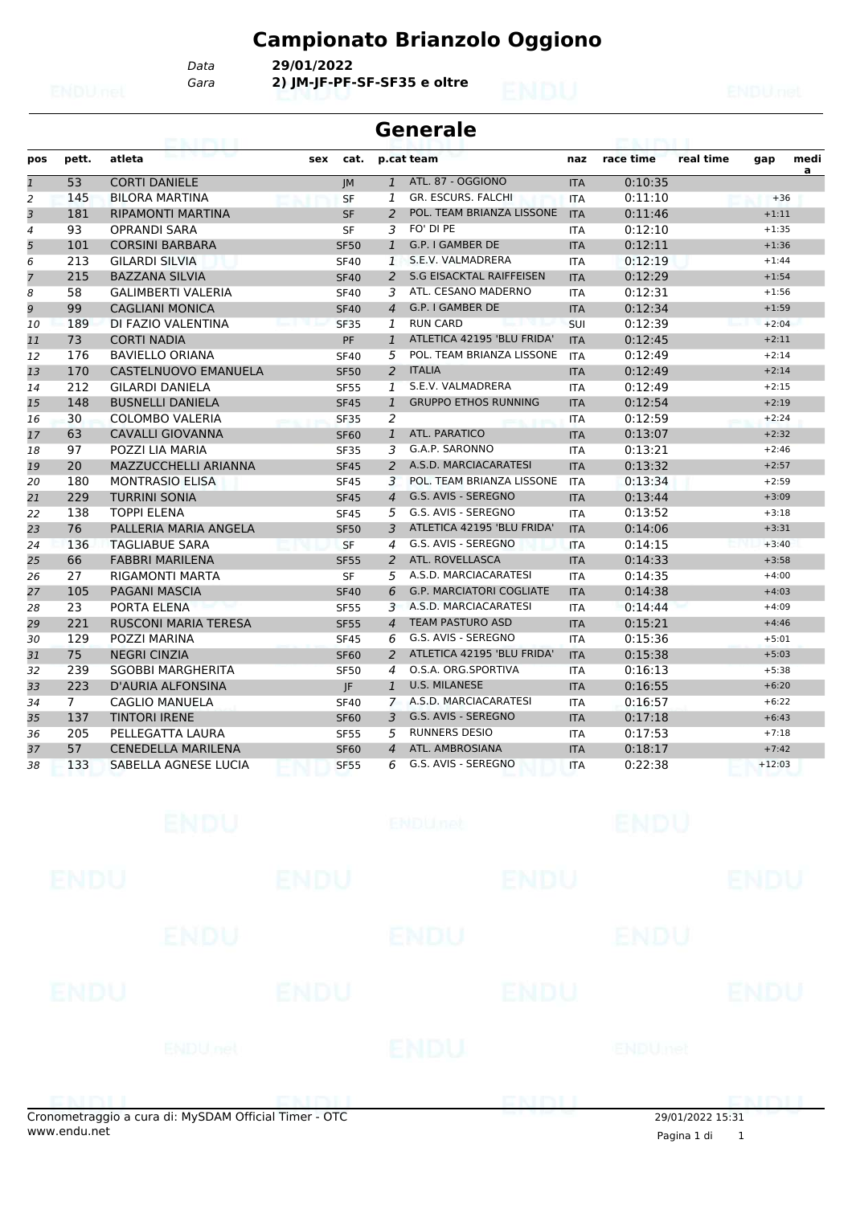# **Campionato Brianzolo Oggiono**

*Gara* **2) JM-JF-PF-SF-SF35 e oltre** *Data* **29/01/2022**

#### **Generale**

| pos            | pett.          | atleta                      | cat.<br>sex |                  | p.cat team                      | naz        | race time | real time | gap      | medi<br>a |
|----------------|----------------|-----------------------------|-------------|------------------|---------------------------------|------------|-----------|-----------|----------|-----------|
| $\mathbf{1}$   | 53             | <b>CORTI DANIELE</b>        | <b>JM</b>   | $\mathbf{1}$     | ATL. 87 - OGGIONO               | <b>ITA</b> | 0:10:35   |           |          |           |
| $\overline{c}$ | 145            | <b>BILORA MARTINA</b>       | <b>SF</b>   | 1                | <b>GR. ESCURS. FALCHI</b>       | <b>ITA</b> | 0:11:10   |           | $+36$    |           |
| 3              | 181            | <b>RIPAMONTI MARTINA</b>    | <b>SF</b>   | 2                | POL. TEAM BRIANZA LISSONE       | <b>ITA</b> | 0:11:46   |           | $+1:11$  |           |
| $\overline{4}$ | 93             | <b>OPRANDI SARA</b>         | <b>SF</b>   | 3                | FO' DI PE                       | <b>ITA</b> | 0:12:10   |           | $+1:35$  |           |
| 5              | 101            | <b>CORSINI BARBARA</b>      | <b>SF50</b> | $\mathbf{1}$     | G.P. I GAMBER DE                | <b>ITA</b> | 0:12:11   |           | $+1:36$  |           |
| 6              | 213            | <b>GILARDI SILVIA</b>       | <b>SF40</b> | $\mathbf{1}$     | S.E.V. VALMADRERA               | <b>ITA</b> | 0:12:19   |           | $+1:44$  |           |
| 7              | 215            | <b>BAZZANA SILVIA</b>       | <b>SF40</b> | $\overline{2}$   | <b>S.G EISACKTAL RAIFFEISEN</b> | <b>ITA</b> | 0:12:29   |           | $+1:54$  |           |
| 8              | 58             | <b>GALIMBERTI VALERIA</b>   | <b>SF40</b> | 3                | ATL. CESANO MADERNO             | <b>ITA</b> | 0:12:31   |           | $+1:56$  |           |
| 9              | 99             | <b>CAGLIANI MONICA</b>      | <b>SF40</b> | $\overline{4}$   | G.P. I GAMBER DE                | <b>ITA</b> | 0:12:34   |           | $+1:59$  |           |
| 10             | 189            | DI FAZIO VALENTINA          | <b>SF35</b> | 1                | <b>RUN CARD</b>                 | SUI        | 0:12:39   |           | $+2:04$  |           |
| 11             | 73             | <b>CORTI NADIA</b>          | <b>PF</b>   | $\mathbf{1}$     | ATLETICA 42195 'BLU FRIDA'      | <b>ITA</b> | 0:12:45   |           | $+2:11$  |           |
| 12             | 176            | <b>BAVIELLO ORIANA</b>      | <b>SF40</b> | 5                | POL. TEAM BRIANZA LISSONE       | <b>ITA</b> | 0:12:49   |           | $+2:14$  |           |
| 13             | 170            | CASTELNUOVO EMANUELA        | <b>SF50</b> | $\overline{2}$   | <b>ITALIA</b>                   | <b>ITA</b> | 0:12:49   |           | $+2:14$  |           |
| 14             | 212            | <b>GILARDI DANIELA</b>      | <b>SF55</b> | $\mathbf{1}$     | S.E.V. VALMADRERA               | <b>ITA</b> | 0:12:49   |           | $+2:15$  |           |
| 15             | 148            | <b>BUSNELLI DANIELA</b>     | <b>SF45</b> | $\mathbf{1}$     | <b>GRUPPO ETHOS RUNNING</b>     | <b>ITA</b> | 0:12:54   |           | $+2:19$  |           |
| 16             | 30             | <b>COLOMBO VALERIA</b>      | <b>SF35</b> | $\overline{2}$   |                                 | <b>ITA</b> | 0:12:59   |           | $+2:24$  |           |
| 17             | 63             | <b>CAVALLI GIOVANNA</b>     | <b>SF60</b> | $\mathbf{1}$     | ATL. PARATICO                   | <b>ITA</b> | 0:13:07   |           | $+2:32$  |           |
| 18             | 97             | POZZI LIA MARIA             | <b>SF35</b> | 3                | G.A.P. SARONNO                  | <b>ITA</b> | 0:13:21   |           | $+2:46$  |           |
| 19             | 20             | <b>MAZZUCCHELLI ARIANNA</b> | <b>SF45</b> | 2                | A.S.D. MARCIACARATESI           | <b>ITA</b> | 0:13:32   |           | $+2:57$  |           |
| 20             | 180            | <b>MONTRASIO ELISA</b>      | <b>SF45</b> | 3                | POL. TEAM BRIANZA LISSONE       | <b>ITA</b> | 0:13:34   |           | $+2:59$  |           |
| 21             | 229            | <b>TURRINI SONIA</b>        | <b>SF45</b> | $\overline{4}$   | G.S. AVIS - SEREGNO             | <b>ITA</b> | 0:13:44   |           | $+3:09$  |           |
| 22             | 138            | <b>TOPPI ELENA</b>          | <b>SF45</b> | 5                | G.S. AVIS - SEREGNO             | <b>ITA</b> | 0:13:52   |           | $+3:18$  |           |
| 23             | 76             | PALLERIA MARIA ANGELA       | <b>SF50</b> | 3                | ATLETICA 42195 'BLU FRIDA'      | <b>ITA</b> | 0:14:06   |           | $+3:31$  |           |
| 24             | 136            | <b>TAGLIABUE SARA</b>       | <b>SF</b>   | $\boldsymbol{4}$ | G.S. AVIS - SEREGNO             | <b>ITA</b> | 0:14:15   |           | $+3:40$  |           |
| 25             | 66             | <b>FABBRI MARILENA</b>      | <b>SF55</b> | 2                | ATL. ROVELLASCA                 | <b>ITA</b> | 0:14:33   |           | $+3:58$  |           |
| 26             | 27             | <b>RIGAMONTI MARTA</b>      | <b>SF</b>   | 5                | A.S.D. MARCIACARATESI           | <b>ITA</b> | 0:14:35   |           | $+4:00$  |           |
| 27             | 105            | <b>PAGANI MASCIA</b>        | <b>SF40</b> | 6                | <b>G.P. MARCIATORI COGLIATE</b> | <b>ITA</b> | 0:14:38   |           | $+4:03$  |           |
| 28             | 23             | PORTA ELENA                 | <b>SF55</b> | 3                | A.S.D. MARCIACARATESI           | <b>ITA</b> | 0:14:44   |           | $+4:09$  |           |
| 29             | 221            | <b>RUSCONI MARIA TERESA</b> | <b>SF55</b> | $\overline{4}$   | <b>TEAM PASTURO ASD</b>         | <b>ITA</b> | 0:15:21   |           | $+4:46$  |           |
| 30             | 129            | POZZI MARINA                | <b>SF45</b> | 6                | G.S. AVIS - SEREGNO             | <b>ITA</b> | 0:15:36   |           | $+5:01$  |           |
| 31             | 75             | <b>NEGRI CINZIA</b>         | <b>SF60</b> | 2                | ATLETICA 42195 'BLU FRIDA'      | <b>ITA</b> | 0:15:38   |           | $+5:03$  |           |
| 32             | 239            | <b>SGOBBI MARGHERITA</b>    | <b>SF50</b> | 4                | O.S.A. ORG.SPORTIVA             | <b>ITA</b> | 0:16:13   |           | $+5:38$  |           |
| 33             | 223            | D'AURIA ALFONSINA           | JF.         | $\mathbf{1}$     | <b>U.S. MILANESE</b>            | <b>ITA</b> | 0:16:55   |           | $+6:20$  |           |
| 34             | $\overline{7}$ | <b>CAGLIO MANUELA</b>       | <b>SF40</b> | $\overline{7}$   | A.S.D. MARCIACARATESI           | <b>ITA</b> | 0:16:57   |           | $+6:22$  |           |
| 35             | 137            | <b>TINTORI IRENE</b>        | <b>SF60</b> | 3                | G.S. AVIS - SEREGNO             | <b>ITA</b> | 0:17:18   |           | $+6:43$  |           |
| 36             | 205            | PELLEGATTA LAURA            | <b>SF55</b> | 5                | <b>RUNNERS DESIO</b>            | <b>ITA</b> | 0:17:53   |           | $+7:18$  |           |
| 37             | 57             | <b>CENEDELLA MARILENA</b>   | <b>SF60</b> | $\overline{4}$   | ATL. AMBROSIANA                 | <b>ITA</b> | 0:18:17   |           | $+7:42$  |           |
| 38             | 133            | SABELLA AGNESE LUCIA        | <b>SF55</b> | 6                | G.S. AVIS - SEREGNO             | <b>ITA</b> | 0:22:38   |           | $+12:03$ |           |

|             | ENDU                                                |             | <b>ENDUnet</b> |             | <b>ENDU</b>      |             |
|-------------|-----------------------------------------------------|-------------|----------------|-------------|------------------|-------------|
| <b>ENDU</b> |                                                     | <b>ENDU</b> |                | <b>ENDU</b> |                  | <b>ENDU</b> |
|             | <b>ENDU</b>                                         |             | ENDU           |             | ENDU             |             |
| <b>ENDU</b> |                                                     | <b>ENDU</b> |                | <b>ENDU</b> |                  | <b>ENDU</b> |
|             | <b>ENDU</b> nel                                     |             | ENDU           |             | ENDUmet          |             |
|             | onometraggio a cura di: MySDAM Official Timer - OTC |             |                | GNINI       | 29/01/2022 15:31 |             |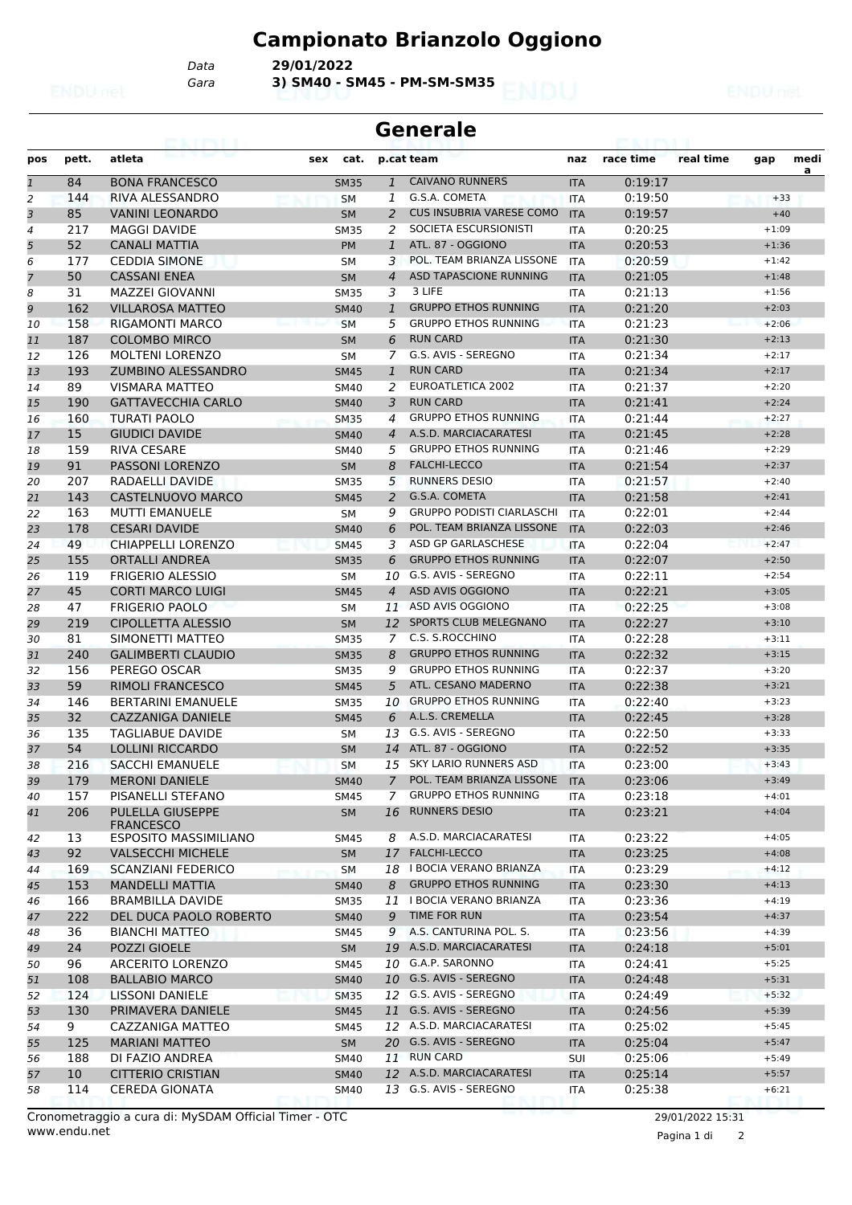### **Campionato Brianzolo Oggiono**

*Gara* **3) SM40 - SM45 - PM-SM-SM35** *Data* **29/01/2022**

|                | <b>Generale</b> |                                      |             |                |                                  |            |           |           |         |           |
|----------------|-----------------|--------------------------------------|-------------|----------------|----------------------------------|------------|-----------|-----------|---------|-----------|
| pos            | pett.           | atleta                               | cat.<br>sex |                | p.cat team                       | naz        | race time | real time | gap     | medi<br>a |
| $\mathbf{1}$   | 84              | <b>BONA FRANCESCO</b>                | <b>SM35</b> | $\mathbf{1}$   | <b>CAIVANO RUNNERS</b>           | <b>ITA</b> | 0:19:17   |           |         |           |
| $\overline{2}$ | 144             | RIVA ALESSANDRO                      | <b>SM</b>   | 1              | G.S.A. COMETA                    | <b>ITA</b> | 0:19:50   |           | $+33$   |           |
| 3              | 85              | <b>VANINI LEONARDO</b>               | <b>SM</b>   | 2              | <b>CUS INSUBRIA VARESE COMO</b>  | <b>ITA</b> | 0:19:57   |           | $+40$   |           |
| $\overline{4}$ | 217             | <b>MAGGI DAVIDE</b>                  | <b>SM35</b> | 2              | SOCIETA ESCURSIONISTI            | <b>ITA</b> | 0:20:25   |           | $+1:09$ |           |
| 5              | 52              | <b>CANALI MATTIA</b>                 | <b>PM</b>   | $\mathbf{1}$   | ATL. 87 - OGGIONO                | <b>ITA</b> | 0:20:53   |           | $+1:36$ |           |
| 6              | 177             | <b>CEDDIA SIMONE</b>                 | <b>SM</b>   | 3              | POL. TEAM BRIANZA LISSONE        | <b>ITA</b> | 0:20:59   |           | $+1:42$ |           |
| $\overline{7}$ | 50              | <b>CASSANI ENEA</b>                  | <b>SM</b>   | $\overline{4}$ | ASD TAPASCIONE RUNNING           | <b>ITA</b> | 0:21:05   |           | $+1:48$ |           |
| 8              | 31              | <b>MAZZEI GIOVANNI</b>               | <b>SM35</b> | 3              | 3 LIFE                           | <b>ITA</b> | 0:21:13   |           | $+1:56$ |           |
| 9              | 162             | <b>VILLAROSA MATTEO</b>              | <b>SM40</b> | $\mathbf{1}$   | <b>GRUPPO ETHOS RUNNING</b>      | <b>ITA</b> | 0:21:20   |           | $+2:03$ |           |
| 10             | 158             | <b>RIGAMONTI MARCO</b>               | <b>SM</b>   | 5              | <b>GRUPPO ETHOS RUNNING</b>      | <b>ITA</b> | 0:21:23   |           | $+2:06$ |           |
| 11             | 187             | <b>COLOMBO MIRCO</b>                 | <b>SM</b>   | 6              | <b>RUN CARD</b>                  | <b>ITA</b> | 0:21:30   |           | $+2:13$ |           |
| 12             | 126             | <b>MOLTENI LORENZO</b>               | <b>SM</b>   | 7              | G.S. AVIS - SEREGNO              | <b>ITA</b> | 0:21:34   |           | $+2:17$ |           |
| 13             | 193             | <b>ZUMBINO ALESSANDRO</b>            | <b>SM45</b> | $\mathbf{1}$   | <b>RUN CARD</b>                  | <b>ITA</b> | 0:21:34   |           | $+2:17$ |           |
| 14             | 89              | <b>VISMARA MATTEO</b>                | <b>SM40</b> | 2              | EUROATLETICA 2002                | <b>ITA</b> | 0:21:37   |           | $+2:20$ |           |
| 15             | 190             | <b>GATTAVECCHIA CARLO</b>            | <b>SM40</b> | 3              | <b>RUN CARD</b>                  | <b>ITA</b> | 0:21:41   |           | $+2:24$ |           |
| 16             | 160             | <b>TURATI PAOLO</b>                  | <b>SM35</b> | 4              | <b>GRUPPO ETHOS RUNNING</b>      | <b>ITA</b> | 0:21:44   |           | $+2:27$ |           |
| 17             | 15              | <b>GIUDICI DAVIDE</b>                | <b>SM40</b> | $\overline{4}$ | A.S.D. MARCIACARATESI            | <b>ITA</b> | 0:21:45   |           | $+2:28$ |           |
| 18             | 159             | <b>RIVA CESARE</b>                   | SM40        | 5              | <b>GRUPPO ETHOS RUNNING</b>      | <b>ITA</b> | 0:21:46   |           | $+2:29$ |           |
| 19             | 91              | <b>PASSONI LORENZO</b>               | <b>SM</b>   | 8              | <b>FALCHI-LECCO</b>              | <b>ITA</b> | 0:21:54   |           | $+2:37$ |           |
|                | 207             | RADAELLI DAVIDE                      |             | 5              | <b>RUNNERS DESIO</b>             |            | 0:21:57   |           | $+2:40$ |           |
| 20             |                 |                                      | <b>SM35</b> |                |                                  | <b>ITA</b> |           |           |         |           |
| 21             | 143             | CASTELNUOVO MARCO                    | <b>SM45</b> | 2              | G.S.A. COMETA                    | <b>ITA</b> | 0:21:58   |           | $+2:41$ |           |
| 22             | 163             | <b>MUTTI EMANUELE</b>                | <b>SM</b>   | 9              | <b>GRUPPO PODISTI CIARLASCHI</b> | <b>ITA</b> | 0:22:01   |           | $+2:44$ |           |
| 23             | 178             | <b>CESARI DAVIDE</b>                 | <b>SM40</b> | 6              | POL. TEAM BRIANZA LISSONE        | <b>ITA</b> | 0:22:03   |           | $+2:46$ |           |
| 24             | 49              | <b>CHIAPPELLI LORENZO</b>            | <b>SM45</b> | 3              | ASD GP GARLASCHESE               | <b>ITA</b> | 0:22:04   |           | $+2:47$ |           |
| 25             | 155             | <b>ORTALLI ANDREA</b>                | <b>SM35</b> | 6              | <b>GRUPPO ETHOS RUNNING</b>      | <b>ITA</b> | 0:22:07   |           | $+2:50$ |           |
| 26             | 119             | <b>FRIGERIO ALESSIO</b>              | <b>SM</b>   | 10             | G.S. AVIS - SEREGNO              | <b>ITA</b> | 0:22:11   |           | $+2:54$ |           |
| 27             | 45              | <b>CORTI MARCO LUIGI</b>             | <b>SM45</b> | 4              | ASD AVIS OGGIONO                 | <b>ITA</b> | 0:22:21   |           | $+3:05$ |           |
| 28             | 47              | <b>FRIGERIO PAOLO</b>                | <b>SM</b>   | 11             | ASD AVIS OGGIONO                 | <b>ITA</b> | 0:22:25   |           | $+3:08$ |           |
| 29             | 219             | <b>CIPOLLETTA ALESSIO</b>            | <b>SM</b>   | 12             | SPORTS CLUB MELEGNANO            | <b>ITA</b> | 0:22:27   |           | $+3:10$ |           |
| 30             | 81              | SIMONETTI MATTEO                     | <b>SM35</b> | 7              | C.S. S.ROCCHINO                  | <b>ITA</b> | 0:22:28   |           | $+3:11$ |           |
| 31             | 240             | <b>GALIMBERTI CLAUDIO</b>            | <b>SM35</b> | 8              | <b>GRUPPO ETHOS RUNNING</b>      | <b>ITA</b> | 0:22:32   |           | $+3:15$ |           |
| 32             | 156             | PEREGO OSCAR                         | <b>SM35</b> | 9              | <b>GRUPPO ETHOS RUNNING</b>      | <b>ITA</b> | 0:22:37   |           | $+3:20$ |           |
| 33             | 59              | <b>RIMOLI FRANCESCO</b>              | <b>SM45</b> | 5              | ATL. CESANO MADERNO              | <b>ITA</b> | 0:22:38   |           | $+3:21$ |           |
| 34             | 146             | <b>BERTARINI EMANUELE</b>            | <b>SM35</b> | 10             | <b>GRUPPO ETHOS RUNNING</b>      | <b>ITA</b> | 0:22:40   |           | $+3:23$ |           |
| 35             | 32              | CAZZANIGA DANIELE                    | <b>SM45</b> | 6              | A.L.S. CREMELLA                  | <b>ITA</b> | 0:22:45   |           | $+3:28$ |           |
| 36             | 135             | <b>TAGLIABUE DAVIDE</b>              | SM          | 13             | G.S. AVIS - SEREGNO              | <b>ITA</b> | 0:22:50   |           | $+3:33$ |           |
| 37             | 54              | <b>LOLLINI RICCARDO</b>              | <b>SM</b>   |                | 14 ATL, 87 - OGGIONO             | <b>ITA</b> | 0:22:52   |           | $+3:35$ |           |
| 38             | 216             | <b>SACCHI EMANUELE</b>               | SM          |                | 15 SKY LARIO RUNNERS ASD         | ITA        | 0:23:00   |           | $+3:43$ |           |
| 39             | 179             | <b>MERONI DANIELE</b>                | <b>SM40</b> | $\overline{7}$ | POL. TEAM BRIANZA LISSONE        | <b>ITA</b> | 0:23:06   |           | $+3:49$ |           |
| 40             | 157             | PISANELLI STEFANO                    | SM45        | 7              | <b>GRUPPO ETHOS RUNNING</b>      | ITA        | 0:23:18   |           | $+4:01$ |           |
| 41             | 206             | PULELLA GIUSEPPE<br><b>FRANCESCO</b> | <b>SM</b>   | 16             | <b>RUNNERS DESIO</b>             | <b>ITA</b> | 0:23:21   |           | $+4:04$ |           |
| 42             | 13              | ESPOSITO MASSIMILIANO                | SM45        | 8              | A.S.D. MARCIACARATESI            | ITA        | 0:23:22   |           | $+4:05$ |           |
| 43             | 92              | <b>VALSECCHI MICHELE</b>             | <b>SM</b>   | 17             | <b>FALCHI-LECCO</b>              | <b>ITA</b> | 0:23:25   |           | $+4:08$ |           |
| 44             | 169             | <b>SCANZIANI FEDERICO</b>            | SM          | 18             | I BOCIA VERANO BRIANZA           | ITA        | 0:23:29   |           | $+4:12$ |           |
| 45             | 153             | <b>MANDELLI MATTIA</b>               | <b>SM40</b> | 8              | <b>GRUPPO ETHOS RUNNING</b>      | <b>ITA</b> | 0:23:30   |           | $+4:13$ |           |
| 46             | 166             | <b>BRAMBILLA DAVIDE</b>              | <b>SM35</b> | 11             | I BOCIA VERANO BRIANZA           | ITA        | 0:23:36   |           | $+4:19$ |           |
| 47             | 222             | DEL DUCA PAOLO ROBERTO               | <b>SM40</b> | 9              | TIME FOR RUN                     | <b>ITA</b> | 0:23:54   |           | $+4:37$ |           |
| 48             | 36              | <b>BIANCHI MATTEO</b>                | SM45        | 9              | A.S. CANTURINA POL. S.           | <b>ITA</b> | 0:23:56   |           | $+4:39$ |           |
| 49             | 24              | <b>POZZI GIOELE</b>                  | <b>SM</b>   | 19             | A.S.D. MARCIACARATESI            | <b>ITA</b> | 0:24:18   |           | $+5:01$ |           |
| 50             | 96              | <b>ARCERITO LORENZO</b>              | SM45        |                | 10 G.A.P. SARONNO                | ITA        | 0:24:41   |           | $+5:25$ |           |
| 51             | 108             | <b>BALLABIO MARCO</b>                | <b>SM40</b> |                | 10 G.S. AVIS - SEREGNO           | <b>ITA</b> | 0:24:48   |           | $+5:31$ |           |
| 52             | 124             | LISSONI DANIELE                      | <b>SM35</b> |                | 12 G.S. AVIS - SEREGNO           | <b>ITA</b> | 0:24:49   |           | $+5:32$ |           |
| 53             | 130             | PRIMAVERA DANIELE                    | <b>SM45</b> |                | 11 G.S. AVIS - SEREGNO           | <b>ITA</b> | 0:24:56   |           | $+5:39$ |           |
| 54             | 9               | CAZZANIGA MATTEO                     | SM45        |                | 12 A.S.D. MARCIACARATESI         | ITA        | 0:25:02   |           | $+5:45$ |           |
| 55             | 125             | <b>MARIANI MATTEO</b>                | <b>SM</b>   | 20             | G.S. AVIS - SEREGNO              |            | 0:25:04   |           | $+5:47$ |           |
|                |                 |                                      |             | 11             | <b>RUN CARD</b>                  | <b>ITA</b> |           |           | $+5:49$ |           |
| 56             | 188             | DI FAZIO ANDREA                      | SM40        |                |                                  | <b>SUI</b> | 0:25:06   |           |         |           |
| 57             | 10              | <b>CITTERIO CRISTIAN</b>             | <b>SM40</b> |                | 12 A.S.D. MARCIACARATESI         | <b>ITA</b> | 0:25:14   |           | $+5:57$ |           |
| 58             | 114             | <b>CEREDA GIONATA</b>                | SM40        |                | 13 G.S. AVIS - SEREGNO           | ITA        | 0:25:38   |           | $+6:21$ |           |

Pagina 1 di 2